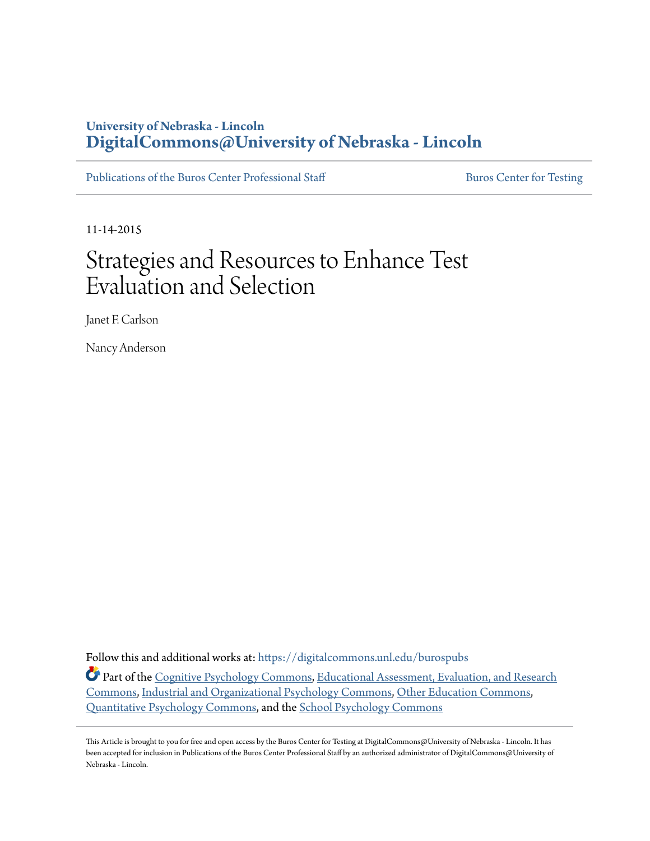### **University of Nebraska - Lincoln [DigitalCommons@University of Nebraska - Lincoln](https://digitalcommons.unl.edu?utm_source=digitalcommons.unl.edu%2Fburospubs%2F2&utm_medium=PDF&utm_campaign=PDFCoverPages)**

[Publications of the Buros Center Professional Staff](https://digitalcommons.unl.edu/burospubs?utm_source=digitalcommons.unl.edu%2Fburospubs%2F2&utm_medium=PDF&utm_campaign=PDFCoverPages) [Buros Center for Testing](https://digitalcommons.unl.edu/buros?utm_source=digitalcommons.unl.edu%2Fburospubs%2F2&utm_medium=PDF&utm_campaign=PDFCoverPages)

11-14-2015

### Strategies and Resources to Enhance Test Evaluation and Selection

Janet F. Carlson

Nancy Anderson

Follow this and additional works at: [https://digitalcommons.unl.edu/burospubs](https://digitalcommons.unl.edu/burospubs?utm_source=digitalcommons.unl.edu%2Fburospubs%2F2&utm_medium=PDF&utm_campaign=PDFCoverPages)

Part of the [Cognitive Psychology Commons,](http://network.bepress.com/hgg/discipline/408?utm_source=digitalcommons.unl.edu%2Fburospubs%2F2&utm_medium=PDF&utm_campaign=PDFCoverPages) [Educational Assessment, Evaluation, and Research](http://network.bepress.com/hgg/discipline/796?utm_source=digitalcommons.unl.edu%2Fburospubs%2F2&utm_medium=PDF&utm_campaign=PDFCoverPages) [Commons,](http://network.bepress.com/hgg/discipline/796?utm_source=digitalcommons.unl.edu%2Fburospubs%2F2&utm_medium=PDF&utm_campaign=PDFCoverPages) [Industrial and Organizational Psychology Commons](http://network.bepress.com/hgg/discipline/412?utm_source=digitalcommons.unl.edu%2Fburospubs%2F2&utm_medium=PDF&utm_campaign=PDFCoverPages), [Other Education Commons,](http://network.bepress.com/hgg/discipline/811?utm_source=digitalcommons.unl.edu%2Fburospubs%2F2&utm_medium=PDF&utm_campaign=PDFCoverPages) [Quantitative Psychology Commons,](http://network.bepress.com/hgg/discipline/1041?utm_source=digitalcommons.unl.edu%2Fburospubs%2F2&utm_medium=PDF&utm_campaign=PDFCoverPages) and the [School Psychology Commons](http://network.bepress.com/hgg/discipline/1072?utm_source=digitalcommons.unl.edu%2Fburospubs%2F2&utm_medium=PDF&utm_campaign=PDFCoverPages)

This Article is brought to you for free and open access by the Buros Center for Testing at DigitalCommons@University of Nebraska - Lincoln. It has been accepted for inclusion in Publications of the Buros Center Professional Staff by an authorized administrator of DigitalCommons@University of Nebraska - Lincoln.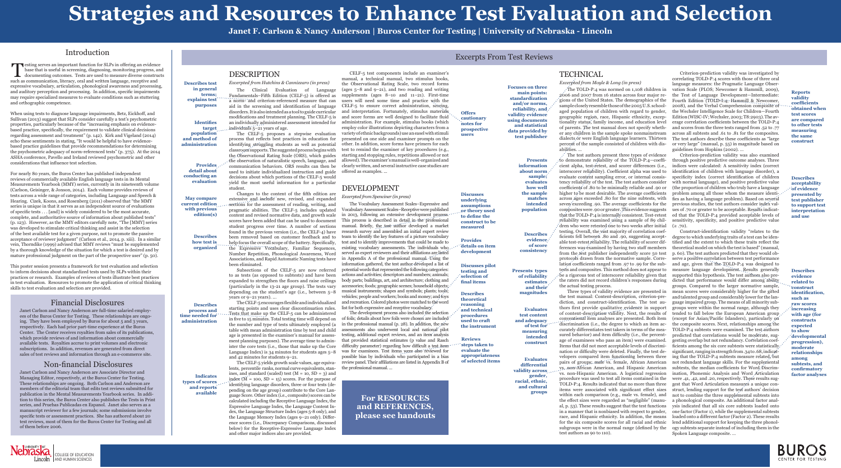### DESCRIPTION

*Excerpted from Hutchins & Cannizzaro (in press)*

The Clinical Evaluation of Language Fundamentals–Fifth Edition (CELF-5) is offered as a norm- and criterion-referenced measure that can aid in the screening and identification of language disorders. It is also intended as a tool to guide curricular modifications and treatment planning. The CELF-5 is an individually administered assessment intended for individuals 5–21 years of age.

The CELF-5 proposes a stepwise evaluation process that reflects best practices in education for identifying struggling students as well as potential classroom supports. The suggested process begins with test to remind the examiner of key procedures (e.g., the Observational Rating Scale (ORS), which guides the observation of naturalistic speech, language, and communication behaviors. ORS results can then be clearly written, and several instructive case studies are used to initiate individualized instruction and guide decisions about which portions of the CELF-5 would yield the most useful information for a particular student.

Changes to the content of the fifth edition are extensive and include new, revised, and expanded  $\dots$  sections for the assessment of reading, writing, and pragmatic abilities. The CELF-5 includes updated content and revised normative data, and growth scale scores have been added that can be used to document student progress over time. A number of sections found in the previous version (i.e., the CELF-4) have been removed based on customer feedback and to help focus the overall scope of the battery. Specifically, the Expressive Vocabulary, Familiar Sequences, Number Repetition, Phonological Awareness, Word Associations, and Rapid Automatic Naming tests have been eliminated.

Subsections of the CELF-5 are now referred to as tests (as opposed to subtests) and have been expanded to strengthen the floors and raise ceilings (particularly in the 13-21 age group). The tests vary depending on the student's age (i.e., between 5–8 years or 9–21 years). ...

The CELF-5 encourages flexible and individualized starting points and uses clear discontinuation rules. Tests that make up the CELF-5 can be administered in five to 15 minutes. Total testing time will depend on the number and type of tests ultimately employed (a table with mean administration time by test and child age is presented in the examiner's manual for assessment planning purposes). The average time to administer the core tests (i.e., those that make up the Core Language Index) is 34 minutes for students ages 5–8 and 42 minutes for students 9–21.

The CELF-5 yields growth scale values, age equivalents, percentile ranks, normal curve equivalents, stanines, and standard (scaled) test  $(M = 10, SD = 3)$  and index  $(M = 100, SD = 15)$  scores. For the purpose of identifying language disorders, three or four tests (depending on the age group) contribute to the Core Language Score. Other index (i.e., composite) scores can be calculated including the Receptive Language Index, the Expressive Language Index, the Language Content Index, the Language Structure Index (ages 5-8 only), and the Language Memory Index (ages 9–21 only). Difference scores (i.e., Discrepancy Comparisons, discussed below) for the Receptive-Expressive Language Index and other major indices also are provided.

Esting serves an important function for SLPs in offering an evidence<br>base that is useful in screening, diagnosing, monitoring progress, and<br>documenting outcomes. Tests are used to measure diverse construct<br>such as communic base that is useful in screening, diagnosing, monitoring progress, and documenting outcomes. Tests are used to measure diverse constructs such as communication, literacy, oral and written language, receptive and expressive vocabulary, articulation, phonological awareness and processing, and auditory perception and processing. In addition, specific impairments may require specialized measures to evaluate conditions such as stuttering and orthographic competence.

For nearly 80 years, the Buros Center has published independent reviews of commercially available English language tests in its Mental Measurements Yearbook (MMY) series, currently in its nineteenth volume (Carlson, Geisinger, & Jonson, 2014). Each volume provides reviews of tests across a wide range of categories, including Language and Speech & Hearing. Cizek, Koons, and Rosenberg (2011) observed that "the MMY series is unique in that it serves as an independent source of evaluations of specific tests . . . [and] is widely considered to be the most accurate, complete, and authoritative source of information about published tests" (p. 123). However, as the MMY editors carefully note, "The [MMY] series was developed to stimulate critical thinking and assist in the selection of the best available test for a given purpose, not to promote the passive acceptance of reviewer judgment" (Carlson et al., 2014, p. xiii). In a similar vein, Thorndike (1999) advised that MMY reviews "must be supplemented by a thorough knowledge of the situation for which a test is desired and by mature professional judgment on the part of the prospective user" (p. 50).

CELF-5 test components include an examiner's manual, a technical manual, two stimulus books, the Observational Rating Scale, two record forms (ages 5–8 and 9–21), and two reading and writing supplements (ages 8–10 and 11–21). First-time users will need some time and practice with the CELF-5 to ensure correct administration, scoring, and interpretation. Fortunately, stimulus materials and score forms are well designed to facilitate fluid administration. For example, stimulus books (which employ color illustrations depicting characters from a variety of ethnic backgrounds) use an easel with stimuli presented on one side and examiner prompts on the other. In addition, score forms have primers for each starting and stopping rules, repetitions allowed or not allowed). The examiner's manual is well-organized and offered as examples. ...

### DEVELOPMENT

### *Excerpted from Spenciner (in press)*

The Vocabulary Assessment Scales–Expressive and Vocabulary Assessment Scales–Receptive were published in 2013, following an extensive development process. This process is described in detail in the professional manual. Briefly, the test author developed a market research survey and assembled an initial expert review team to identify the key features of a picture vocabulary test and to identify improvements that could be made to existing vocabulary assessments. The individuals who. served as expert reviewers and their affiliations are listed i Appendix A of the professional manual. Using the information gathered, the test author developed a list of potential words that represented the following categories: actions and activities; descriptors and numbers; animals; body parts; buildings, art, and architecture; clothing and accessories; foods; geographic scenes; household objects; · musical instruments; shapes and symbols; plants; tools; vehicles; people and workers; books and money; and toys and recreation. Colored photos were matched to the word list for both expressive and receptive vocabulary.

The development process also included the selection of foils; details about how foils were chosen are included in the professional manual (p. 28). In addition, the new assessments also underwent local and national pilot testing, additional expert reviews, and an item analysis that provided statistical estimates (p value and Rasch difficulty parameter) regarding how difficult a test item . was for examinees. Test items were also reviewed for possible bias by individuals who participated in a bias review panel. Their affiliations are listed in Appendix B of the professional manual. ...

# **Strategies and Resources to Enhance Test Evaluation and Selection**

**Janet F. Carlson & Nancy Anderson | Buros Center for Testing | University of Nebraska - Lincoln**

## Introduction

When using tests to diagnose language impairments, Betz, Eickhoff, and Sullivan (2013) suggest that SLPs consider carefully a test's psychometric properties, particularly because of the "increasing emphasis on evidencebased practice, specifically, the requirement to validate clinical decisions regarding assessment and treatment" (p. 142). Kirk and Vigeland (2014) echo these sentiments in stating, "It would be helpful to have evidencebased practice guidelines that provide recommendations for determining the psychometric adequacy of norm-referenced tests" (p. 375). At the 2014 ASHA conference, Pavello and Ireland reviewed psychometric and other considerations that influence test selection.

This poster session presents a framework for test evaluation and selection to inform decisions about standardized tests used by SLPs within their practices or research. Examples of reviews of tests illustrate best practices in test evaluation. Resources to promote the application of critical thinking skills to test evaluation and selection are provided.

### Financial Disclosures

Janet Carlson and Nancy Anderson are full-time salaried employees of the Buros Center for Testing. These relationships are ongoing. They have been employed by Buros for about 5 and 3 years, respectively. Each had prior part-time experience at the Buros Center. The Center receives royalties from sales of its publications, which provide reviews of and information about commercially available tests. Royalties accrue to print volumes and electronic subscriptions. In addition, revenues are generated from direct sales of test reviews and information through an e-commerce site.

# Non-financial Disclosures

Janet Carlson and Nancy Anderson are Associate Director and Managing Editor, respectively, at the Buros Center for Testing. These relationships are ongoing. Both Carlson and Anderson are members of the editorial team that edits test reviews submitted for publication in the Mental Measurements Yearbook series. In addition to this series, the Buros Center also publishes the Tests in Print series, and Pruebas Publicadas en Espanol. Janet also serves as a manuscript reviewer for a few journals; some submissions involve specific tests or assessment practices. She has authored about 20 test reviews, most of them for the Buros Center for Testing and all of them before 2006.



## Excerpts From Test Reviews



**Describes test in general terms; explains test purposes**

### TECHNICAL

*Excerpted from Moyle & Long (in press)*

The TOLD-P:4 was normed on 1,108 children in 2006 and 2007 from 16 states across four major re-the Test of Language Development—Intermediate: gions of the United States. The demographics of the Fourth Edition (TOLD-I:4; Hammill & Newcomer, sample closely resemble those of the 2005 U.S. schoolaged population of children with regard to gender, geographic region, race, Hispanic ethnicity, exceptionality status, family income, and education level erage correlation coefficients between the TOLD-P:4 of parents. The test manual does not specify wheth-and scores from the three tests ranged from .52 to .77 er any children in the sample spoke nonmainstream across all subtests and .61 to .81 for the composites. dialects or were English language learners. Thirteen The test authors describe these coefficients as "large percent of the sample consisted of children with dis-or very large" (manual, p. 55) in magnitude based on abilities. …

The test authors present three types of evidence to demonstrate reliability of the TOLD-P:4—coeffi-through positive predictive outcome analyses. Three cient alpha, test-retest, and scorer differences (i.e., ) indices were calculated: A sensitivity index (correct interscorer reliability). Coefficient alpha was used to identification of children with language disorder), a evaluate content sampling error, or internal consis-specificity index (correct identification of children tency reliability of the test. The test authors consider with normal language), and positive predictive value coefficients of .80 to be minimally reliable and .90 or (the proportion of children who truly have a language higher to be most desirable. The average coefficients problem among all those whom the measure identiacross ages exceeded .80 for the nine subtests, with fies as having a language problem). Based on several seven exceeding .90. The average coefficients for the previous studies, the test authors consider index valcomposites were .90 or greater. This evidence suggests ues of .70 or greater to be acceptable. Results indicatthat the TOLD-P:4 is internally consistent. Test-retest ed that the TOLD-P:4 provided acceptable levels of reliability was examined using a sample of 89 chil-sensitivity, specificity, and positive predictive value dren who were retested one to two weeks after initial  $( \geq .70).$ testing. Overall, the vast majority of correlation coefthe actual testing process.

Criterion-prediction validity was investigated by correlating TOLD-P:4 scores with those of three oral language measures: the Pragmatic Language Observation Scale (PLOS; Newcomer & Hammill, 2009), 2008), and the Verbal Comprehension composite of  $\cdot$ the Wechsler Intelligence Scale for Children—Fourth Edition (WISC-IV; Wechsler, 2003; T8:2903). The avguidelines from Hopkins (2002). …

ficients fell between .80 and .90, suggesting accept-degree to which underlying traits of a test can be idenable test-retest reliability. The reliability of scorer dif-tified and the extent to which these traits reflect the ferences was examined by having two staff members — theoretical model on which the test is based" (manual, from the test publisher independently score 50 test p. 60). The test authors predicted that they would obprotocols drawn from the normative sample. Corre-serve a positive correlation between test performance lation coefficients ranged from .97 to .99 for the sub-and age, given that the TOLD-P:4 was designed to tests and composites. This method does not appear to measure language development. . Results generally be a rigorous test of interscorer reliability given that supported this hypothesis. The test authors also prethe raters did not record children's responses during – dicted that performance would differ among ability produ Three types of validity evidence are presented in mean scores were considerably higher for the gifted the test manual: Content-description, criterion-pre-and talented group and considerably lower for the landiction, and construct-identification. The test au-guage impaired group. The means of all minority subthors first provide qualitative evidence in support groups were within the normal range, although they of content-description validity. Next, the results of tended to fall below the European American group conventional item analyses are presented. Both item (except for Asian/Pacific Islanders), particularly on discrimination (i.e., the degree to which an item ac-the composite scores. Next, relationships among the curately differentiates test takers in terms of the mea-TOLD-P:4 subtests were examined. The test authors sured behavior) and item difficulty (i.e., the percent-predicted that correlations would be moderate, sugage of examinees who pass an item) were examined. gesting overlap but not redundancy. Correlation coef-Items that did not meet acceptable levels of discrimination or difficulty were deleted. Finally, the test de-significant, ranging in strength from .34 to .68, indicatvelopers compared item functioning between three ing that the TOLD-P:4 subtests measure related, but pairs of groups: male vs. female, African American not redundant language skills. For the supplemental vs. non-African American, and Hispanic American subtests, the median coefficients for Word Discrimvs. non-Hispanic American. A logistical regression ination, Phonemic Analysis and Word Articulation procedure was used to test all items contained in the were .41, .42, and .20, respectively. These results sug-TOLD-P:4. Results indicated that no more than three gest that Word Articulation measures a unique conitems were associated with significant effect sizes struct, lending support for the test authors' decision within each comparison (e.g., male vs. female), and not to combine the three supplemental subtests into the effect sizes were regarded as "negligible" (manu-a phonological composite. An additional factor analal, p. 53). These results suggest that the test functions ysis indicated that all six core subtests loaded onto in a manner that is nonbiased with respect to gender, one factor (Factor 1), while the supplemental subtests race, and Hispanic ethnicity. In addition, the means loaded onto a different factor (Factor 2). These results for the six composite scores for all racial and ethnic lend additional support for keeping the three phonolsubgroups were in the normal range (defined by the ogy subtests separate instead of including them in the test authors as 90 to 110). Construct-identification validity "relates to the groups. Compared to the larger normative sample, ficients among the six core subtests were statistically Spoken Language composite. …

Criterion-prediction validity was also examined

**Identifies target population and method of administration**

**Provides detail about conducting an evaluation**

**May compare current edition with previous edition(s)**

> **Describes how test is organized**

**Describes process and time needed for administration**

**Indicates types of scores and reports available**

**Offers cautionary notes for prospective users**

**Discusses underlying assumptions or theory used to define the construct to be measured**

**Provides details on item development**

**Discusses pilot testing and selection of final items**

**Describes theoretical reasoning and technical procedures used to craft the instrument** 

**Reviews steps taken to evaluate the appropriateness of selected items**

**Focuses on three main points: standardization and/or norms,**  reliability, and **validity evidence using documents and statistical data provided by test publisher** 

> **Presents information about norm sample; evaluates how well the sample matches intended population**

**Describes**  evidence.<sup>•</sup> **of score consistency**

**Presents types of reliability estimates and their magnitudes**

**Evaluates test content and adequacy of test for measuring intended construct**

**Evaluates differential validity across .... gender, racial, ethnic, and cultural groups** 

**Reports validity coefficients obtained when test scores are compared to other tests measuring the same construct**

**Describes acceptability of evidence presented by test publisher to support test interpretation and use**

**Describes evidence related to construct identification, such as raw scores increasing with age (for constructs expected to show developmental progression), moderate relationships among subtests, and confirmatory factor analyses**



**For RESOURCES and REFERENCES, please see handouts** 

COLLEGE OF EDUCATION AND HUMAN SCIENCES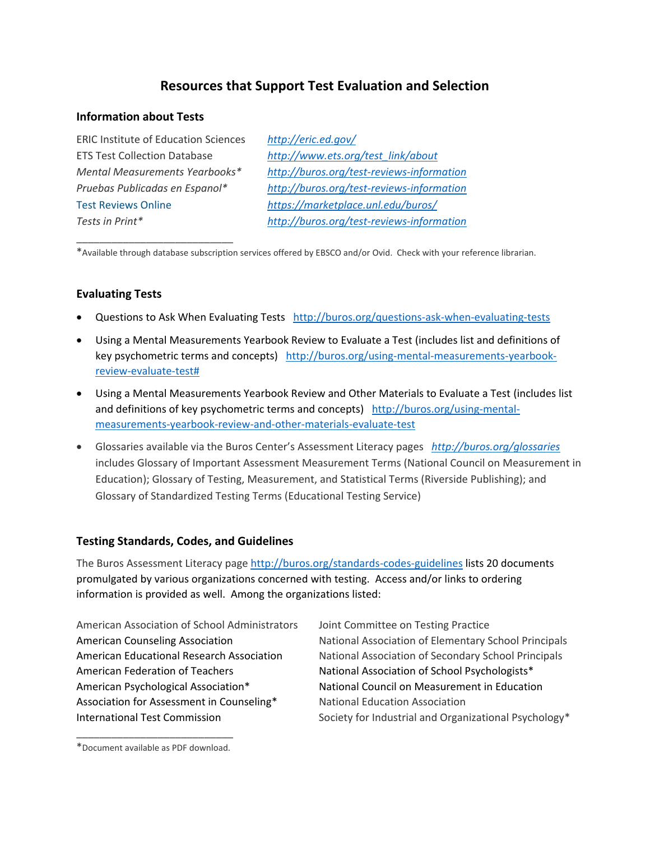### **Resources that Support Test Evaluation and Selection**

### **Information about Tests**

\_\_\_\_\_\_\_\_\_\_\_\_\_\_\_\_\_\_\_\_\_\_\_\_\_\_\_

| <b>ERIC Institute of Education Sciences</b> | http://eric.ed.gov/                       |
|---------------------------------------------|-------------------------------------------|
| <b>ETS Test Collection Database</b>         | http://www.ets.org/test link/about        |
| Mental Measurements Yearbooks*              | http://buros.org/test-reviews-information |
| Pruebas Publicadas en Espanol*              | http://buros.org/test-reviews-information |
| <b>Test Reviews Online</b>                  | https://marketplace.unl.edu/buros/        |
| Tests in Print*                             | http://buros.org/test-reviews-information |

\*Available through database subscription services offered by EBSCO and/or Ovid. Check with your reference librarian.

### **Evaluating Tests**

- Questions to Ask When Evaluating Tests <http://buros.org/questions-ask-when-evaluating-tests>
- Using a Mental Measurements Yearbook Review to Evaluate a Test (includes list and definitions of key psychometric terms and concepts) [http://buros.org/using-mental-measurements-yearbook](http://buros.org/using-mental-measurements-yearbook-review-evaluate-test)[review-evaluate-test#](http://buros.org/using-mental-measurements-yearbook-review-evaluate-test)
- Using a Mental Measurements Yearbook Review and Other Materials to Evaluate a Test (includes list and definitions of key psychometric terms and concepts) [http://buros.org/using-mental](http://buros.org/using-mental-measurements-yearbook-review-and-other-materials-evaluate-test)[measurements-yearbook-review-and-other-materials-evaluate-test](http://buros.org/using-mental-measurements-yearbook-review-and-other-materials-evaluate-test)
- Glossaries available via the Buros Center's Assessment Literacy pages *<http://buros.org/glossaries>* includes Glossary of Important Assessment Measurement Terms (National Council on Measurement in Education); Glossary of Testing, Measurement, and Statistical Terms (Riverside Publishing); and Glossary of Standardized Testing Terms (Educational Testing Service)

### **Testing Standards, Codes, and Guidelines**

The Buros Assessment Literacy page <http://buros.org/standards-codes-guidelines> lists 20 documents promulgated by various organizations concerned with testing. Access and/or links to ordering information is provided as well. Among the organizations listed:

American Association of School Administrators Joint Committee on Testing Practice American Federation of Teachers National Association of School Psychologists\* Association for Assessment in Counseling\* National Education Association

American Counseling Association National Association of Elementary School Principals American Educational Research Association National Association of Secondary School Principals American Psychological Association\* National Council on Measurement in Education International Test Commission Society for Industrial and Organizational Psychology\*

\_\_\_\_\_\_\_\_\_\_\_\_\_\_\_\_\_\_\_\_\_\_\_\_\_\_\_ \*Document available as PDF download.